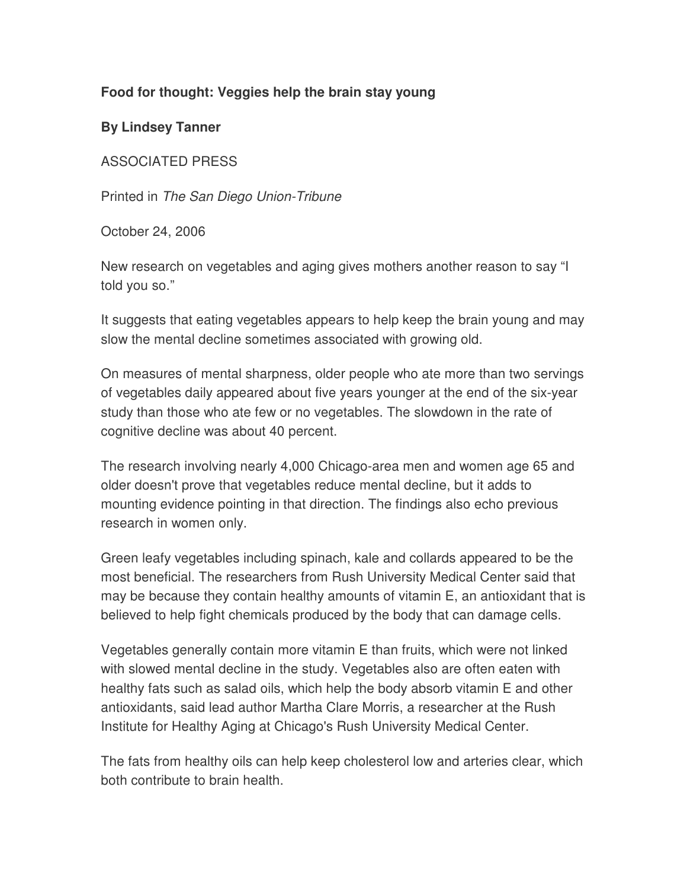## **Food for thought: Veggies help the brain stay young**

**By Lindsey Tanner**

ASSOCIATED PRESS

Printed in The San Diego Union-Tribune

October 24, 2006

New research on vegetables and aging gives mothers another reason to say "I told you so."

It suggests that eating vegetables appears to help keep the brain young and may slow the mental decline sometimes associated with growing old.

On measures of mental sharpness, older people who ate more than two servings of vegetables daily appeared about five years younger at the end of the six-year study than those who ate few or no vegetables. The slowdown in the rate of cognitive decline was about 40 percent.

The research involving nearly 4,000 Chicago-area men and women age 65 and older doesn't prove that vegetables reduce mental decline, but it adds to mounting evidence pointing in that direction. The findings also echo previous research in women only.

Green leafy vegetables including spinach, kale and collards appeared to be the most beneficial. The researchers from Rush University Medical Center said that may be because they contain healthy amounts of vitamin E, an antioxidant that is believed to help fight chemicals produced by the body that can damage cells.

Vegetables generally contain more vitamin E than fruits, which were not linked with slowed mental decline in the study. Vegetables also are often eaten with healthy fats such as salad oils, which help the body absorb vitamin E and other antioxidants, said lead author Martha Clare Morris, a researcher at the Rush Institute for Healthy Aging at Chicago's Rush University Medical Center.

The fats from healthy oils can help keep cholesterol low and arteries clear, which both contribute to brain health.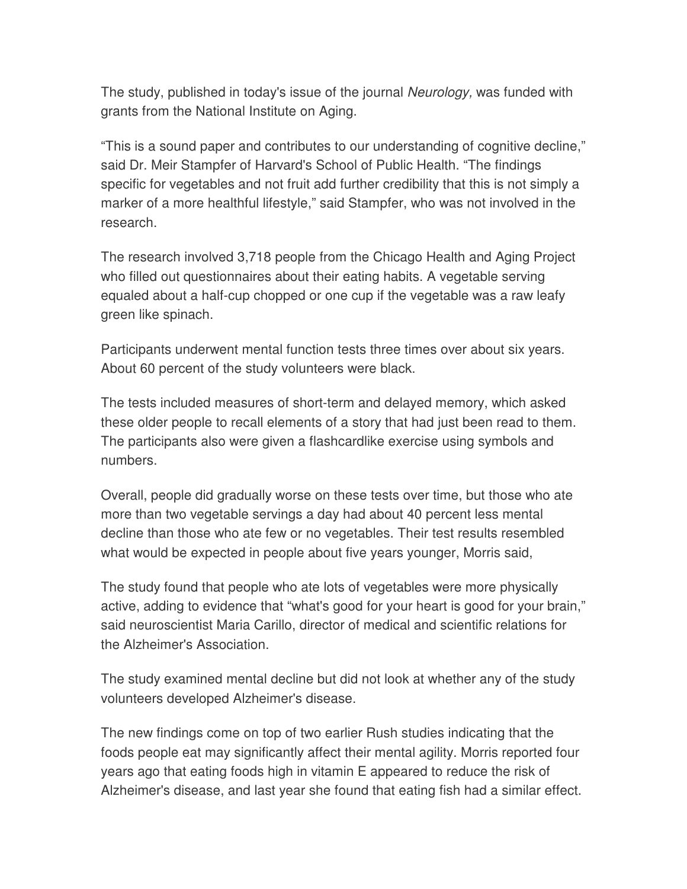The study, published in today's issue of the journal Neurology, was funded with grants from the National Institute on Aging.

"This is a sound paper and contributes to our understanding of cognitive decline," said Dr. Meir Stampfer of Harvard's School of Public Health. "The findings specific for vegetables and not fruit add further credibility that this is not simply a marker of a more healthful lifestyle," said Stampfer, who was not involved in the research.

The research involved 3,718 people from the Chicago Health and Aging Project who filled out questionnaires about their eating habits. A vegetable serving equaled about a half-cup chopped or one cup if the vegetable was a raw leafy green like spinach.

Participants underwent mental function tests three times over about six years. About 60 percent of the study volunteers were black.

The tests included measures of short-term and delayed memory, which asked these older people to recall elements of a story that had just been read to them. The participants also were given a flashcardlike exercise using symbols and numbers.

Overall, people did gradually worse on these tests over time, but those who ate more than two vegetable servings a day had about 40 percent less mental decline than those who ate few or no vegetables. Their test results resembled what would be expected in people about five years younger, Morris said,

The study found that people who ate lots of vegetables were more physically active, adding to evidence that "what's good for your heart is good for your brain," said neuroscientist Maria Carillo, director of medical and scientific relations for the Alzheimer's Association.

The study examined mental decline but did not look at whether any of the study volunteers developed Alzheimer's disease.

The new findings come on top of two earlier Rush studies indicating that the foods people eat may significantly affect their mental agility. Morris reported four years ago that eating foods high in vitamin E appeared to reduce the risk of Alzheimer's disease, and last year she found that eating fish had a similar effect.